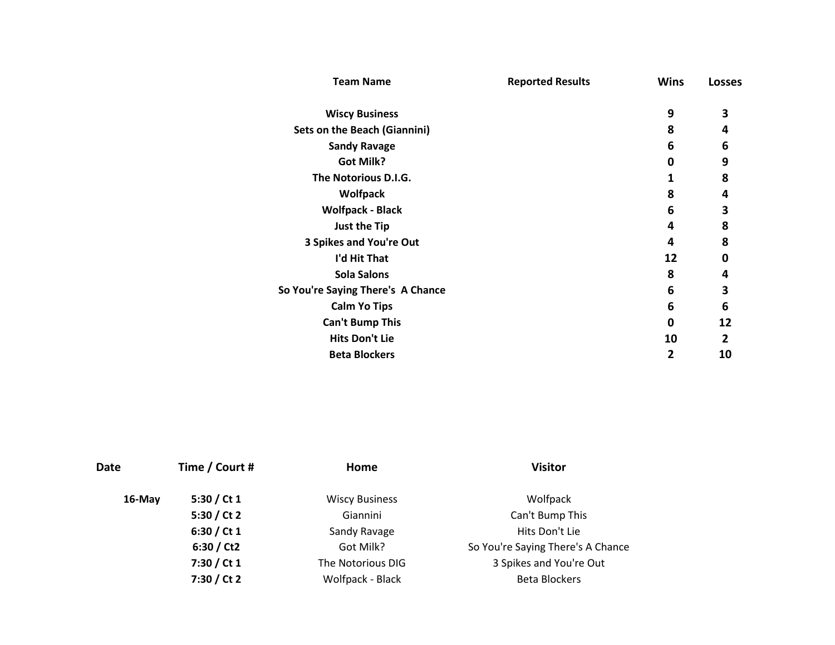| 9<br>3<br><b>Wiscy Business</b><br><b>Sets on the Beach (Giannini)</b><br>8<br>4<br>6<br><b>Sandy Ravage</b><br>6<br>9<br><b>Got Milk?</b><br>0<br>The Notorious D.I.G.<br>8<br>1<br>8<br><b>Wolfpack</b><br>4<br><b>Wolfpack - Black</b><br>6<br>3<br>8<br>Just the Tip<br>4<br>8<br>3 Spikes and You're Out<br>4<br>I'd Hit That<br>12<br>0<br><b>Sola Salons</b><br>8<br>4 | <b>Team Name</b> | <b>Reported Results</b> | <b>Wins</b> | <b>Losses</b> |  |
|-------------------------------------------------------------------------------------------------------------------------------------------------------------------------------------------------------------------------------------------------------------------------------------------------------------------------------------------------------------------------------|------------------|-------------------------|-------------|---------------|--|
|                                                                                                                                                                                                                                                                                                                                                                               |                  |                         |             |               |  |
|                                                                                                                                                                                                                                                                                                                                                                               |                  |                         |             |               |  |
|                                                                                                                                                                                                                                                                                                                                                                               |                  |                         |             |               |  |
|                                                                                                                                                                                                                                                                                                                                                                               |                  |                         |             |               |  |
|                                                                                                                                                                                                                                                                                                                                                                               |                  |                         |             |               |  |
|                                                                                                                                                                                                                                                                                                                                                                               |                  |                         |             |               |  |
|                                                                                                                                                                                                                                                                                                                                                                               |                  |                         |             |               |  |
|                                                                                                                                                                                                                                                                                                                                                                               |                  |                         |             |               |  |
|                                                                                                                                                                                                                                                                                                                                                                               |                  |                         |             |               |  |
|                                                                                                                                                                                                                                                                                                                                                                               |                  |                         |             |               |  |
|                                                                                                                                                                                                                                                                                                                                                                               |                  |                         |             |               |  |
| 6<br>3<br>So You're Saying There's A Chance                                                                                                                                                                                                                                                                                                                                   |                  |                         |             |               |  |
| 6<br>6<br><b>Calm Yo Tips</b>                                                                                                                                                                                                                                                                                                                                                 |                  |                         |             |               |  |
| <b>Can't Bump This</b><br>12<br>0                                                                                                                                                                                                                                                                                                                                             |                  |                         |             |               |  |
| <b>Hits Don't Lie</b><br>10<br>2                                                                                                                                                                                                                                                                                                                                              |                  |                         |             |               |  |
| <b>Beta Blockers</b><br>2<br>10                                                                                                                                                                                                                                                                                                                                               |                  |                         |             |               |  |

| Date      | Time / Court # | Home                  | <b>Visitor</b>                    |
|-----------|----------------|-----------------------|-----------------------------------|
| $16$ -May | 5:30 / Ct 1    | <b>Wiscy Business</b> | Wolfpack                          |
|           | 5:30 / Ct 2    | Giannini              | Can't Bump This                   |
|           | 6:30 / Ct 1    | Sandy Ravage          | Hits Don't Lie                    |
|           | 6:30 / Ct2     | Got Milk?             | So You're Saying There's A Chance |
|           | 7:30 / Ct 1    | The Notorious DIG     | 3 Spikes and You're Out           |
|           | 7:30 / Ct 2    | Wolfpack - Black      | <b>Beta Blockers</b>              |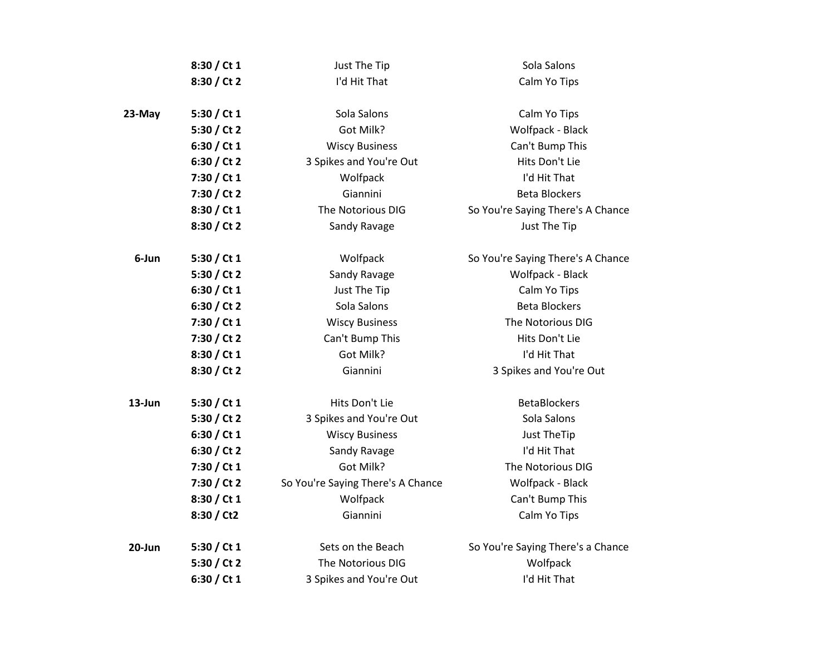|        | 8:30 / Ct 1   | Just The Tip                      | Sola Salons                       |
|--------|---------------|-----------------------------------|-----------------------------------|
|        | 8:30 / Ct 2   | I'd Hit That                      | Calm Yo Tips                      |
|        |               |                                   |                                   |
| 23-May | 5:30 / Ct $1$ | Sola Salons                       | Calm Yo Tips                      |
|        | 5:30 / Ct 2   | Got Milk?                         | Wolfpack - Black                  |
|        | 6:30 / Ct 1   | <b>Wiscy Business</b>             | Can't Bump This                   |
|        | 6:30 / Ct 2   | 3 Spikes and You're Out           | Hits Don't Lie                    |
|        | 7:30 / Ct 1   | Wolfpack                          | I'd Hit That                      |
|        | 7:30 / Ct 2   | Giannini                          | <b>Beta Blockers</b>              |
|        | 8:30 / Ct 1   | The Notorious DIG                 | So You're Saying There's A Chance |
|        | 8:30 / Ct 2   | Sandy Ravage                      | Just The Tip                      |
| 6-Jun  | 5:30 / Ct $1$ | Wolfpack                          | So You're Saying There's A Chance |
|        | 5:30 / Ct 2   | Sandy Ravage                      | Wolfpack - Black                  |
|        | 6:30 / Ct 1   | Just The Tip                      | Calm Yo Tips                      |
|        | 6:30 / Ct 2   | Sola Salons                       | <b>Beta Blockers</b>              |
|        | 7:30 / Ct 1   | <b>Wiscy Business</b>             | The Notorious DIG                 |
|        | 7:30 / Ct 2   | Can't Bump This                   | Hits Don't Lie                    |
|        | 8:30 / Ct 1   | Got Milk?                         | I'd Hit That                      |
|        | 8:30 / Ct 2   | Giannini                          | 3 Spikes and You're Out           |
| 13-Jun | 5:30 / Ct $1$ | Hits Don't Lie                    | <b>BetaBlockers</b>               |
|        | 5:30 / Ct 2   | 3 Spikes and You're Out           | Sola Salons                       |
|        | 6:30 / Ct 1   | <b>Wiscy Business</b>             | <b>Just TheTip</b>                |
|        | 6:30 / Ct 2   | Sandy Ravage                      | I'd Hit That                      |
|        | 7:30 / Ct 1   | Got Milk?                         | The Notorious DIG                 |
|        | 7:30 / Ct 2   | So You're Saying There's A Chance | Wolfpack - Black                  |
|        | 8:30 / Ct 1   | Wolfpack                          | Can't Bump This                   |
|        | 8:30 / Ct2    | Giannini                          | Calm Yo Tips                      |
| 20-Jun | 5:30 / Ct $1$ | Sets on the Beach                 | So You're Saying There's a Chance |
|        | 5:30 / Ct 2   | The Notorious DIG                 | Wolfpack                          |
|        | 6:30 / Ct $1$ | 3 Spikes and You're Out           | I'd Hit That                      |
|        |               |                                   |                                   |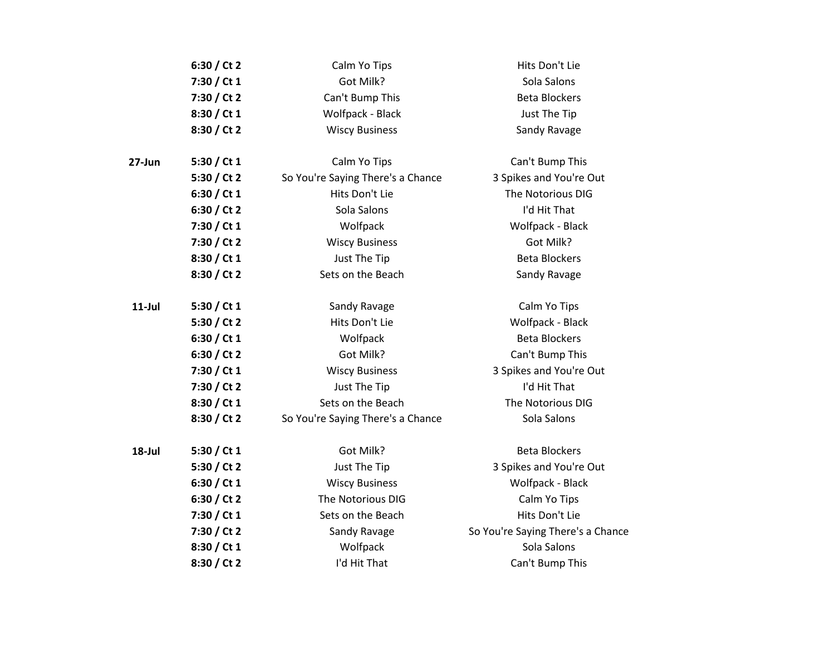|           | 6:30 / Ct 2   | Calm Yo Tips                      | Hits Don't Lie                    |
|-----------|---------------|-----------------------------------|-----------------------------------|
|           | 7:30 / Ct 1   | Got Milk?                         | Sola Salons                       |
|           | 7:30 / Ct 2   | Can't Bump This                   | <b>Beta Blockers</b>              |
|           | 8:30 / Ct 1   | Wolfpack - Black                  | Just The Tip                      |
|           | 8:30 / Ct 2   | <b>Wiscy Business</b>             | Sandy Ravage                      |
| 27-Jun    | 5:30 / Ct 1   | Calm Yo Tips                      | Can't Bump This                   |
|           | 5:30 / Ct 2   | So You're Saying There's a Chance | 3 Spikes and You're Out           |
|           | 6:30 / Ct 1   | Hits Don't Lie                    | The Notorious DIG                 |
|           | 6:30 / Ct 2   | Sola Salons                       | I'd Hit That                      |
|           | 7:30 / Ct 1   | Wolfpack                          | Wolfpack - Black                  |
|           | 7:30 / Ct 2   | <b>Wiscy Business</b>             | Got Milk?                         |
|           | 8:30 / Ct 1   | Just The Tip                      | <b>Beta Blockers</b>              |
|           | 8:30 / Ct 2   | Sets on the Beach                 | Sandy Ravage                      |
| $11$ -Jul | 5:30 / Ct $1$ | Sandy Ravage                      | Calm Yo Tips                      |
|           | 5:30 / Ct 2   | Hits Don't Lie                    | Wolfpack - Black                  |
|           | 6:30 / Ct 1   | Wolfpack                          | <b>Beta Blockers</b>              |
|           | 6:30 / Ct 2   | Got Milk?                         | Can't Bump This                   |
|           | 7:30 / Ct 1   | <b>Wiscy Business</b>             | 3 Spikes and You're Out           |
|           | 7:30 / Ct 2   | Just The Tip                      | I'd Hit That                      |
|           | 8:30 / Ct 1   | Sets on the Beach                 | The Notorious DIG                 |
|           | 8:30 / Ct 2   | So You're Saying There's a Chance | Sola Salons                       |
| 18-Jul    | 5:30 / Ct 1   | Got Milk?                         | <b>Beta Blockers</b>              |
|           | 5:30 / Ct 2   | Just The Tip                      | 3 Spikes and You're Out           |
|           | 6:30 / Ct 1   | <b>Wiscy Business</b>             | Wolfpack - Black                  |
|           | 6:30 / Ct 2   | The Notorious DIG                 | Calm Yo Tips                      |
|           | 7:30 / Ct 1   | Sets on the Beach                 | Hits Don't Lie                    |
|           | 7:30 / Ct 2   | Sandy Ravage                      | So You're Saying There's a Chance |
|           | 8:30 / Ct 1   | Wolfpack                          | Sola Salons                       |
|           | 8:30 / Ct 2   | I'd Hit That                      | Can't Bump This                   |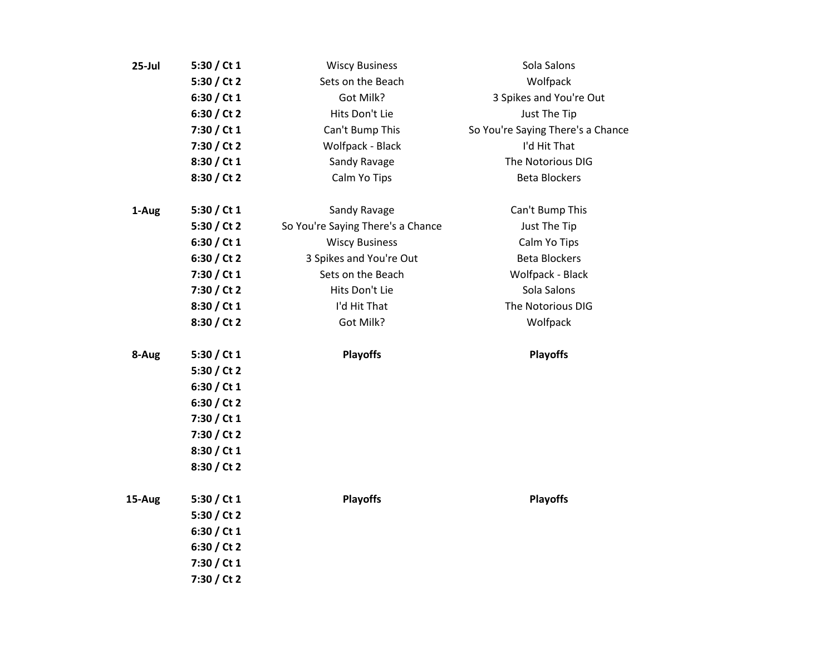| $25$ -Jul | 5:30 / Ct $1$ | <b>Wiscy Business</b>             | Sola Salons                       |
|-----------|---------------|-----------------------------------|-----------------------------------|
|           | 5:30 / Ct 2   | Sets on the Beach                 | Wolfpack                          |
|           | 6:30 / Ct 1   | Got Milk?                         | 3 Spikes and You're Out           |
|           | 6:30 / Ct 2   | Hits Don't Lie                    | Just The Tip                      |
|           | 7:30 / Ct 1   | Can't Bump This                   | So You're Saying There's a Chance |
|           | 7:30 / Ct 2   | Wolfpack - Black                  | I'd Hit That                      |
|           | 8:30 / Ct 1   | Sandy Ravage                      | The Notorious DIG                 |
|           | 8:30 / Ct 2   | Calm Yo Tips                      | <b>Beta Blockers</b>              |
| 1-Aug     | 5:30 / Ct $1$ | Sandy Ravage                      | Can't Bump This                   |
|           | 5:30 / Ct 2   | So You're Saying There's a Chance | Just The Tip                      |
|           | 6:30 / Ct 1   | <b>Wiscy Business</b>             | Calm Yo Tips                      |
|           | 6:30 / Ct 2   | 3 Spikes and You're Out           | <b>Beta Blockers</b>              |
|           | 7:30 / Ct 1   | Sets on the Beach                 | Wolfpack - Black                  |
|           | 7:30 / Ct 2   | Hits Don't Lie                    | Sola Salons                       |
|           | 8:30 / Ct 1   | I'd Hit That                      | The Notorious DIG                 |
|           | 8:30 / Ct 2   | Got Milk?                         | Wolfpack                          |
| 8-Aug     | 5:30 / Ct $1$ | <b>Playoffs</b>                   | <b>Playoffs</b>                   |
|           | 5:30 / Ct 2   |                                   |                                   |
|           | 6:30 / Ct 1   |                                   |                                   |
|           | 6:30 / Ct 2   |                                   |                                   |
|           | 7:30 / Ct 1   |                                   |                                   |
|           | 7:30 / Ct 2   |                                   |                                   |
|           | 8:30 / Ct 1   |                                   |                                   |
|           | 8:30 / Ct 2   |                                   |                                   |
| 15-Aug    | 5:30 / Ct $1$ | <b>Playoffs</b>                   | <b>Playoffs</b>                   |
|           | 5:30 / Ct 2   |                                   |                                   |
|           | 6:30 / Ct 1   |                                   |                                   |
|           | 6:30 / Ct 2   |                                   |                                   |
|           | 7:30 / Ct 1   |                                   |                                   |
|           | 7:30 / Ct 2   |                                   |                                   |